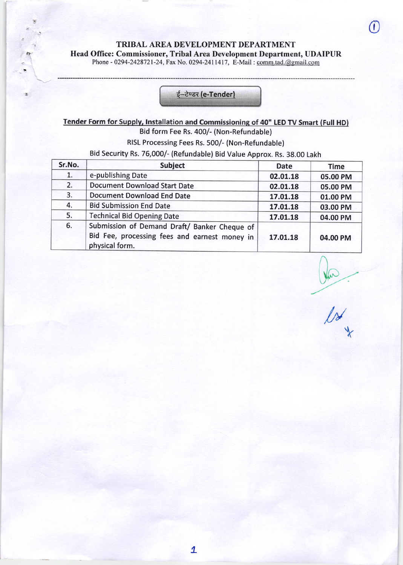TRIBAL AREA DEVELOPMENT DEPARTMENT Head Office: Commissioner, Tribal Area Development Department, UDAIPUR Phone - 0294-2428721-24, Fax No. 0294-2411417, E-Mail : comm.tad.@gmail.com

i--

### ई-टेण्डर (e-Tender)

## Tender Form for Supply, Installation and Commissioning of 40" LED TV Smart (Full HD) Bid form Fee Rs. 400/- (Non-Refundable)

RISL Processing Fees Rs. 500/- (Non-Refundable)

Bid Security Rs. 76,000/- (Refundable) Bid Value Approx. Rs. 38.00 Lakh

| Sr.No. | <b>Subject</b>                                                                                                  | <b>Date</b> | <b>Time</b> |
|--------|-----------------------------------------------------------------------------------------------------------------|-------------|-------------|
| 1.     | e-publishing Date                                                                                               | 02.01.18    | 05.00 PM    |
| 2.     | <b>Document Download Start Date</b>                                                                             | 02.01.18    | 05.00 PM    |
| 3.     | <b>Document Download End Date</b>                                                                               | 17.01.18    | 01.00 PM    |
| 4.     | <b>Bid Submission End Date</b>                                                                                  | 17.01.18    | 03.00 PM    |
| 5.     | <b>Technical Bid Opening Date</b>                                                                               | 17.01.18    | 04.00 PM    |
| 6.     | Submission of Demand Draft/ Banker Cheque of<br>Bid Fee, processing fees and earnest money in<br>physical form. | 17.01.18    | 04.00 PM    |

 $\frac{1}{2}$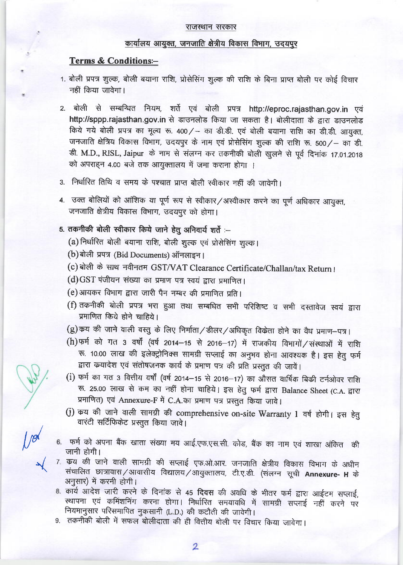#### राजस्थान सरकार

### कार्यालय आयुक्त, जनजाति क्षेत्रीय विकास विभाग, उदयपुर

#### **Terms & Conditions:-**

- 1. बोली प्रपत्र शुल्क, बोली बयाना राशि, प्रोसेसिंग शुल्क की राशि के बिना प्राप्त बोली पर कोई विचार नहीं किया जावेगा।
- 2. बोली से सम्बन्धित नियम, शर्ते एवं बोली प्रपत्र http://eproc.rajasthan.gov.in एवं http://sppp.rajasthan.gov.in से डाउनलोड किया जा सकता है। बोलीदाता के द्वारा डाउनलोड किये गये बोली प्रपत्र का मूल्य रू. 400/- का डी.डी. एवं बोली बयाना राशि का डी.डी. आयुक्त, जनजाति क्षेत्रिय विकास विभाग, उदयपुर के नाम एवं प्रोसेसिंग शुल्क की राशि रू. 500 / - का डी. ड़ी. M.D., RISL, Jaipur के नाम से संलग्न कर तकनीकी बोली खुलने से पूर्व दिनांक 17.01.2018 को अपराहन 4.00 बजे तक आयुक्तालय में जमा कराना होगा ।
- 3. निर्धारित तिथि व समय के पश्चात प्राप्त बोली स्वीकार नहीं की जावेगी।
- 4. उक्त बोलियों को आंशिक या पूर्ण रूप से स्वीकार/अस्वीकार करने का पूर्ण अधिकार आयुक्त, जनजाति क्षेत्रीय विकास विभाग, उदयपुर को होगा।

# 5. तकनीकी बोली स्वीकार किये जाने हेतु अनिवार्य शर्तें :-

- (a) निर्धारित बोली बयाना राशि, बोली शुल्क एवं प्रोसेसिंग शुल्क।
- (b) बोली प्रपत्र (Bid Documents) ऑनलाइन।
- (c) बोली के साथ नवीनतम GST/VAT Clearance Certificate/Challan/tax Return ।
- (d) GST पंजीयन संख्या का प्रमाण पत्र स्वयं द्वारा प्रमाणित।
- (e) आयकर विभाग द्वारा जारी पैन नम्बर की प्रमाणित प्रति।
- (f) तकनीकी बोली प्रपत्र भरा हुआ तथा सम्बधित सभी परिशिष्ट व सभी दस्तावेज स्वयं द्वारा प्रमाणित किये होने चाहिये।
- (g) कय की जाने वाली वस्तु के लिए निर्माता / डीलर / अधिकृत विकेता होने का वैध प्रमाण-पत्र।
- (h) फर्म को गत 3 वर्षों (वर्ष 2014-15 से 2016-17) में राजकीय विभागों / संस्थाओं में राशि रू. 10.00 लाख की इलेक्ट्रोनिक्स सामग्री सप्लाई का अनुभव होना आवश्यक है। इस हेतु फर्म द्वारा कथादेश एवं संतोषजनक कार्य के प्रमाण पत्र की प्रति प्रस्तुत की जावें।
- (i) फर्म का गत 3 वित्तीय वर्षों (वर्ष 2014-15 से 2016-17) का औसत वार्षिक बिकी टर्नओवर राशि रू. 25.00 लाख से कम का नहीं होना चाहिये। इस हेतु फर्म द्वारा Balance Sheet (C.A. द्वारा प्रमाणित) एवं Annexure-F में C.A.का प्रमाण पत्र प्रस्तुत किया जावे।
- (j) कय की जाने वाली सामग्री की comprehensive on-site Warranty 1 वर्ष होगी। इस हेतु वारंटी सर्टिफिकेट प्रस्तुत किया जावे।
- 6. फर्म को अपना बैंक खाता संख्या मय आई.एफ.एस.सी. कोड, बैंक का नाम एवं शाखा अंकित की जानी होगी।
- 7. कय की जाने वाली सामग्री की सप्लाई एफ.ओ.आर. जनजाति क्षेत्रीय विकास विभाग के अधीन संचालित छात्रावास/आवासीय विद्यालय/आयुक्तालय, टी.ए.डी. (संलग्न सूची Annexure- H के अनुसार) में करनी होगी।
- 8. कार्य आदेश जारी करने के दिनांक से 45 दिवस की अवधि के भीतर फर्म द्वारा आईटम सप्लाई, स्थापना एवं कमिंशनिंग करना होगा। निर्धारित समयावधि में सामग्री सप्लाई नहीं करने पर नियमानुसार परिसमापित नुकसानी (L.D.) की कटौती की जावेगी।
- 9. तकनीकी बोली में सफल बोलीदाता की ही वित्तीय बोली पर विचार किया जावेगा।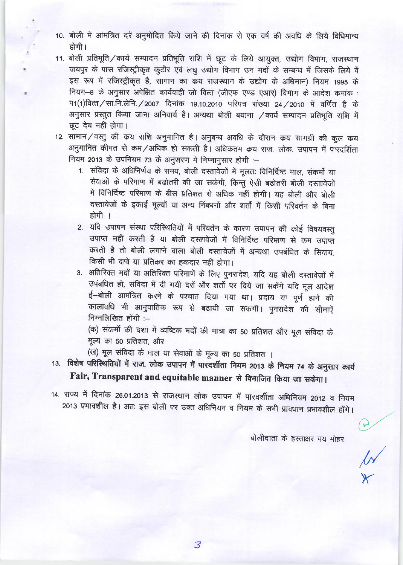- 10. बोली में आंमत्रित दरें अनुमोदित किये जाने की दिनांक से एक वर्ष की अवधि के लिये विधिमान्य होगी।
- 11. बोली प्रतिभूति / कार्य सम्पादन प्रतिभूति राशि में छूट के लिये आयुक्त, उद्योग विभाग, राजस्थान जयपुर के पास रजिस्ट्रीकृत कुटीर एवं लघु उद्योग विभाग उन मदों के सम्बन्ध में जिसके लिये वें इस रूप में रजिस्ट्रीकृत है, सामान का कय राजस्थान के उद्योग के अधिमान) नियम 1995 के नियम-8 के अनुसार अपेक्षित कार्यवाही जो वित्त (जीएफ एण्ड एआर) विभाग के आदेश कमांक : प1(1) वित्त/सा.नि.लेनि./2007 दिनांक 19.10.2010 परिपत्र संख्या 24/2010 में वर्णित है के अनुसार प्रस्तुत किया जाना अनिवार्य है। अन्यथा बोली बयाना / कार्य सम्पादन प्रतिभूति राशि में छूट देय नहीं होगा।
- 12. सामान/वस्तु की कय राशि अनुमानित है। अनुबन्ध अवधि के दौरान कय सामग्री की कुल कय अनुमानित कीमत से कम/अधिक हो सकती है। अधिकतम क्रय राज. लोक. उपापन में पारदर्शिता नियम 2013 के उपनियम 73 के अनुसरण मे निम्नानुसार होगी :-
	- 1. संविदा के अधिनिर्णय के समय, बोली दस्तावेजों में मूलतः विनिर्दिष्ट माल, संकर्मो या सेवाओं के परिमाण में बढोतरी की जा सकेगी, किन्तु ऐसी बढोतरी बोली दस्तावेजों मे विनिर्दिष्ट परिमाण के बीस प्रतिशत से अधिक नहीं होगी। यह बोली और बोली दस्तावेजों के इकाई मूल्यों या अन्य निंबधनों और शर्तो में किसी परिवर्तन के बिना होगी ।
	- 2. यदि उपापन संस्था परिस्थितियों में परिवर्तन के कारण उपापन की कोई विषयवस्तु उपाप्त नहीं करती है या बोली दस्तावेजों में विनिर्दिष्ट परिमाण से कम उपाप्त करती है तो बोली लगाने वाला बोली दस्तावेजों में अन्यथा उपबंधित के सिवाय, किसी भी दावे या प्रतिकर का हकदार नहीं होगा।
	- 3. अतिरिक्त मदों या अतिरिक्त परिमाणें के लिए पुनरादेश, यदि यह बोली दस्तावेजों में उपंबधित हो, संविदा में दी गयी दरों और शर्तों पर दिये जा सकेंगे यदि मूल आदेश ई–बोली आमंत्रित करने के पश्चात दिया गया था। प्रदाय या पूर्ण हाने की कालावधि भी आनुपातिक रूप से बढायी जा सकगी। पुनरादेश की सीमाऐं निम्नलिखित होंगी $=$

(क) संकर्मो की दशा में व्यष्टिक मदों की मात्रा का 50 प्रतिशत और मूल संविदा के मूल्य का 50 प्रतिशत, और

(ख) मूल संविदा के माल या सेवाओं के मूल्य का 50 प्रतिशत ।

13. विशेष परिस्थितियों में राज. लोक उपापन में पारदर्शीता नियम 2013 के नियम 74 के अनुसार कार्य Fair, Transparent and equitable manner से विमाजित किया जा सकेगा।

14. राज्य में दिनांक 26.01.2013 से राजस्थान लोक उपापन में पारदर्शीता अधिनियम 2012 व नियम 2013 प्रभावशील है। अतः इस बोली पर उक्त अधिनियम व नियम के सभी प्रावधान प्रभावशील होंगे।

बोलीदाता के हस्ताक्षर मय मोहर

E A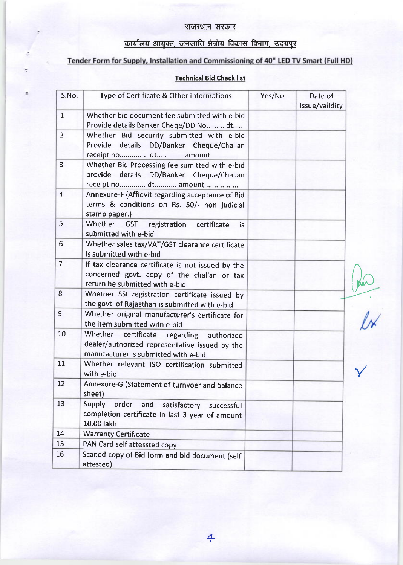### राजस्थान सरकार

# कार्यालय आयुक्त, जनजाति क्षेत्रीय विकास विभाग, उदयपुर

## Tender Form for Supply, Installation and Commissioning of 40" LED TV Smart (Full HD)

## Technical Bid Check list

| S.No.            | Type of Certificate & Other informations                                                                                                 | Yes/No | Date of<br>issue/validity |
|------------------|------------------------------------------------------------------------------------------------------------------------------------------|--------|---------------------------|
| $\mathbf{1}$     | Whether bid document fee submitted with e-bid<br>Provide details Banker Cheqe/DD No dt                                                   |        |                           |
| $\overline{2}$   | Whether Bid security submitted with e-bid<br>Provide details DD/Banker Cheque/Challan<br>receipt no dt amount                            |        |                           |
| $\overline{3}$   | Whether Bid Processing fee sumitted with e-bid<br>provide details DD/Banker Cheque/Challan<br>receipt no dt amount                       |        |                           |
| $\overline{4}$   | Annexure-F (Affidvit regarding acceptance of Bid<br>terms & conditions on Rs. 50/- non judicial<br>stamp paper.)                         |        |                           |
| 5                | Whether GST<br>registration certificate<br>is<br>submitted with e-bid                                                                    |        |                           |
| $6 \overline{6}$ | Whether sales tax/VAT/GST clearance certificate<br>is submitted with e-bid                                                               |        |                           |
| $\overline{7}$   | If tax clearance certificate is not issued by the<br>concerned govt. copy of the challan or tax<br>return be submitted with e-bid        |        |                           |
| 8                | Whether SSI registration certificate issued by<br>the govt. of Rajasthan is submitted with e-bid                                         |        |                           |
| $\overline{9}$   | Whether original manufacturer's certificate for<br>the item submitted with e-bid                                                         |        |                           |
| 10               | Whether<br>certificate<br>regarding authorized<br>dealer/authorized representative issued by the<br>manufacturer is submitted with e-bid |        |                           |
| 11               | Whether relevant ISO certification submitted<br>with e-bid                                                                               |        |                           |
| 12               | Annexure-G (Statement of turnvoer and balance<br>sheet)                                                                                  |        |                           |
| 13               | Supply<br>order<br>and<br>satisfactory<br>successful<br>completion certificate in last 3 year of amount<br>10.00 lakh                    |        |                           |
| 14               | <b>Warranty Certificate</b>                                                                                                              |        |                           |
| 15               | PAN Card self attessted copy                                                                                                             |        |                           |
| 16               | Scaned copy of Bid form and bid document (self<br>attested)                                                                              |        |                           |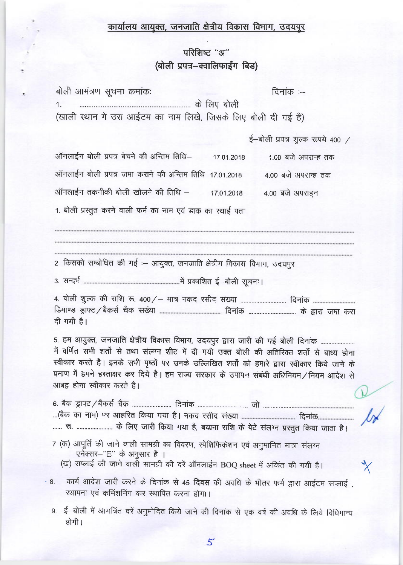# कार्यालय आयुक्त, जनजाति क्षेत्रीय विकास विभाग, उदयपुर

# परिशिष्ट "अ" (बोली प्रपत्र-क्वालिफाईंग बिड)

| बोली आमंत्रण सूचना क्रमांकः<br>दिनांक :--                                                                                                                                                                                                                                                                                                                                                                    |  |
|--------------------------------------------------------------------------------------------------------------------------------------------------------------------------------------------------------------------------------------------------------------------------------------------------------------------------------------------------------------------------------------------------------------|--|
| 1.                                                                                                                                                                                                                                                                                                                                                                                                           |  |
| (खाली स्थान मे उस आईटम का नाम लिखे, जिसके लिए बोली दी गई है)                                                                                                                                                                                                                                                                                                                                                 |  |
| ई-बोली प्रपत्र शुल्क रूपये 400 /-                                                                                                                                                                                                                                                                                                                                                                            |  |
| ऑनलाईन बोली प्रपत्र बेचने की अन्तिम तिथि–<br>1.00 बजे अपरान्ह तक<br>17.01.2018                                                                                                                                                                                                                                                                                                                               |  |
| ऑनलाईन बोली प्रपत्र जमा कराने की अन्तिम तिथि–17.01.2018<br>4.00 बजे अपरान्ह तक                                                                                                                                                                                                                                                                                                                               |  |
| ऑनलाईन तकनीकी बोली खोलने की तिथि –<br>4.00 बजे अपराहन<br>17.01.2018                                                                                                                                                                                                                                                                                                                                          |  |
| 1. बोली प्रस्तुत करने वाली फर्म का नाम एवं डाक का स्थाई पता                                                                                                                                                                                                                                                                                                                                                  |  |
|                                                                                                                                                                                                                                                                                                                                                                                                              |  |
|                                                                                                                                                                                                                                                                                                                                                                                                              |  |
| 2. किसको सम्बोधित की गई :– आयुक्त, जनजाति क्षेत्रीय विकास विभाग, उदयपुर                                                                                                                                                                                                                                                                                                                                      |  |
|                                                                                                                                                                                                                                                                                                                                                                                                              |  |
| दी गयी है।                                                                                                                                                                                                                                                                                                                                                                                                   |  |
| 5. हम आयुक्त, जनजाति क्षेत्रीय विकास विभाग, उदयपुर द्वारा जारी की गई बोली दिनांक<br>में वर्णित सभी शर्तो से तथा संलग्न शीट में दी गयी उक्त बोली की अतिरिक्त शर्तो से बाध्य होना<br>स्वीकार करते है। इनके सभी पृष्ठों पर उनके उल्लिखित शर्तो को हमारे द्वारा स्वीकार किये जाने के<br>प्रमाण में हमने हस्ताक्षर कर दिये है। हम राज्य सरकार के उपापन संबंधी अधिनियम/नियम आदेश से<br>आबद्व होना स्वीकार करते है। |  |
|                                                                                                                                                                                                                                                                                                                                                                                                              |  |
| रू.  के लिए जारी किया गया है, बयाना राशि के पेटे संलग्न प्रस्तुत किया जाता है।                                                                                                                                                                                                                                                                                                                               |  |
| 7 (क) आपूर्ति की जाने वाली सामग्री का विवरण, स्पेशिफिकेशन एवं अनुमानित मात्रा संलग्न<br>एनेक्सर-"E" के अनुसार है ।<br>(ख) सप्लाई की जाने वाली सामग्री की दरें ऑनलाईन BOQ sheet में अकिंत की गयी है।                                                                                                                                                                                                          |  |
| कार्य आदेश जारी करने के दिनांक से 45 दिवस की अवधि के भीतर फर्म द्वारा आईटम सप्लाई ,<br>$\cdot$ 8.<br>स्थापना एवं कमिंशनिंग कर स्थापित करना होगा।                                                                                                                                                                                                                                                             |  |
| 9.  ई—बोली में आमत्रिंत दरें अनुमोदित किये जाने की दिनांक से एक वर्ष की अवधि के लिये विधिमान्य<br>होगी ।                                                                                                                                                                                                                                                                                                     |  |
|                                                                                                                                                                                                                                                                                                                                                                                                              |  |

 $5\overline{}$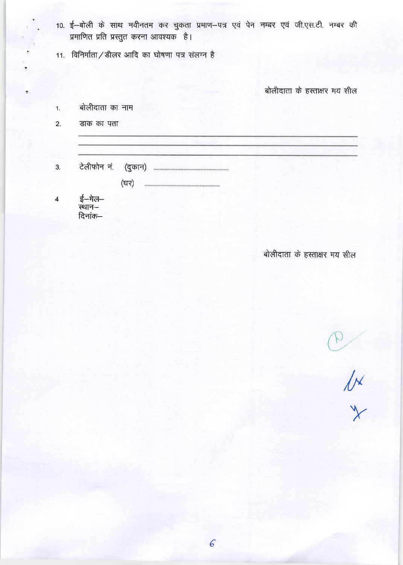- 10. ई-बोली के साथ नवीनतम कर चुकता प्रमाण-पत्र एवं पेन नम्बर एवं जी.एस.टी. नम्बर की प्रमाणित प्रति प्रस्तुत करना आवश्यक है।
- 11. विनिर्माता / डीलर आदि का घोषणा पत्र संलग्न है

बोलीदाता के हस्ताक्षर मय सील

- बोलीदाता का नाम  $1.$
- $2.$ डाक का पता

 $\tilde{z}$ 

 $3.$ 

> (घर)

ई—मेल—<br>स्थान—  $\overline{\mathbf{4}}$ दिनांक–

बोलीदाता के हस्ताक्षर मय सील

AXXX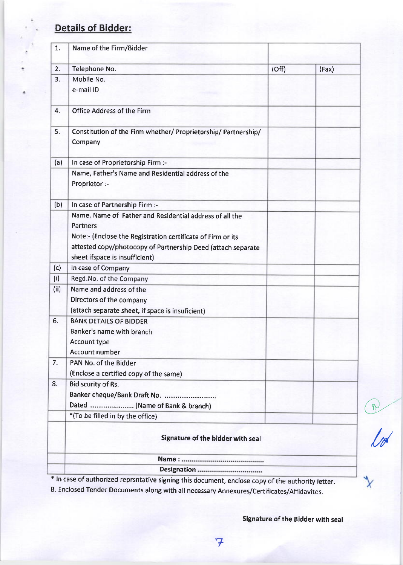# Details of Bidder:

| 1.   | Name of the Firm/Bidder                                                   |       |       |  |  |
|------|---------------------------------------------------------------------------|-------|-------|--|--|
| 2.   | Telephone No.                                                             | (Off) | (Fax) |  |  |
| 3.   | Mobile No.                                                                |       |       |  |  |
|      | e-mail ID                                                                 |       |       |  |  |
| 4.   | Office Address of the Firm                                                |       |       |  |  |
| 5.   | Constitution of the Firm whether/ Proprietorship/ Partnership/<br>Company |       |       |  |  |
| (a)  | In case of Proprietorship Firm :-                                         |       |       |  |  |
|      | Name, Father's Name and Residential address of the<br>Proprietor :-       |       |       |  |  |
| (b)  | In case of Partnership Firm :-                                            |       |       |  |  |
|      | Name, Name of Father and Residential address of all the                   |       |       |  |  |
|      | <b>Partners</b>                                                           |       |       |  |  |
|      | Note:- (Enclose the Registration certificate of Firm or its               |       |       |  |  |
|      | attested copy/photocopy of Partnership Deed (attach separate              |       |       |  |  |
|      | sheet ifspace is insufficient)                                            |       |       |  |  |
| (c)  | In case of Company                                                        |       |       |  |  |
| (i)  | Regd.No. of the Company                                                   |       |       |  |  |
| (ii) | Name and address of the                                                   |       |       |  |  |
|      | Directors of the company                                                  |       |       |  |  |
|      | (attach separate sheet, if space is insuficient)                          |       |       |  |  |
| 6.   | <b>BANK DETAILS OF BIDDER</b>                                             |       |       |  |  |
|      | Banker's name with branch                                                 |       |       |  |  |
|      | Account type                                                              |       |       |  |  |
|      | <b>Account number</b>                                                     |       |       |  |  |
| 7.   | PAN No. of the Bidder                                                     |       |       |  |  |
|      | (Enclose a certified copy of the same)                                    |       |       |  |  |
| 8.   | <b>Bid scurity of Rs.</b>                                                 |       |       |  |  |
|      | Banker cheque/Bank Draft No.                                              |       |       |  |  |
|      | Dated  (Name of Bank & branch)                                            |       |       |  |  |
|      | *(To be filled in by the office)                                          |       |       |  |  |
|      | Signature of the bidder with seal                                         |       |       |  |  |
|      |                                                                           |       |       |  |  |
|      |                                                                           |       |       |  |  |

\* In case of authorized reprsntative signing this document, enclose copy of the authority letter.

7

B. Enclosed render Documents along with all necessary Annexures/certificates/Affidavites.

Signature of the Bidder with seal

@-'

//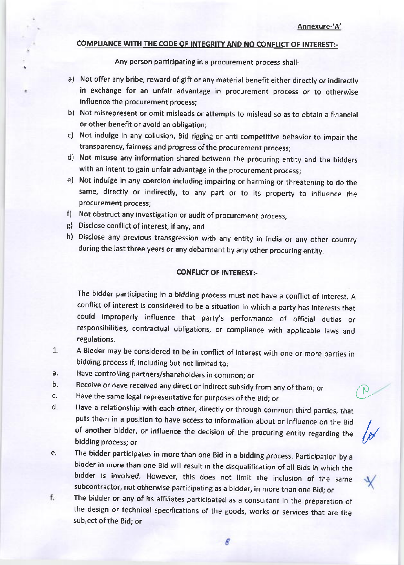<sup>a</sup>

k

#### COMPLIANCE WITH THE CODE OF INTEGRITY AND NO CONFLICT OF INTEREST:-

Any person participating in a procurement process shall-

- a) Not offer any bribe, reward of gift or any material benefit either directly or indirectly in exchange for an unfair advantage in procurement process or to otherwise influence the procurement process;
- b) Not misrepresent or omit misleads or attempts to mislead so as to obtain a financial or other benefit or avoid an obligation;
- c) Not indulge in any collusion, Bid rigging or anti competitive behavior to impair the transparency, fairness and progress of the procurement process;
- d) Not misuse any information shared between the procuring entity and the bidders with an intent to gain unfair advantage in the procurement process;
- e) Not indulge in any coercion including impairing or harming or threatening to do the same, directly or indirectly, to any part or to its property to influence the procurement process;
- f) Not obstruct any investigation or audit of procurement process,
- g) Disclose conflict of interest, if any, and
- Disclose any previous transgression with any entity in India or any other country h) during the last three years or any debarment by any other procuring entity.

#### CONFLICT OF INTEREST:-

The bidder participating in a bidding process must not have a conflict of interest. <sup>A</sup> conflict of interest is considered to be a situation in which a party has interests that could improperly influence that party's performance of official duties or responsibilities, contractual obligations, or compliance with applicable laws and regulations.

- A Bldder may be considered to be in conflict of interest with one or more parties in bidding process if, including but not limited to: 7.
- Have controlling partners/shareholders in common; or a,
- Receive or have received any direct or indirect subsidy from any of them; or b.
- Have the same legal representative for purposes of the Bid; or c.
- Have a relationship with each other, directly or through common third parties, that puts them in a position to have access to information about or influence on the Bid of another bidder, or influence the decision of the procuring entity regarding the bidding process; or d.
- The bidder participates in more than one Bid in a bidding process. Participation by a bidder in more than one Bid will result in the disqualification of all Bids in which the bidder is involved. However, this does not limit the inclusion of the same subcontractor, not otherwise participating as a bidder, in more than one Bid; or e,
- f. The bidder or any of its affiliates participated as a consultant in the preparation of the design or technical specifications of the goods, works or services that are the subject of the Bid; or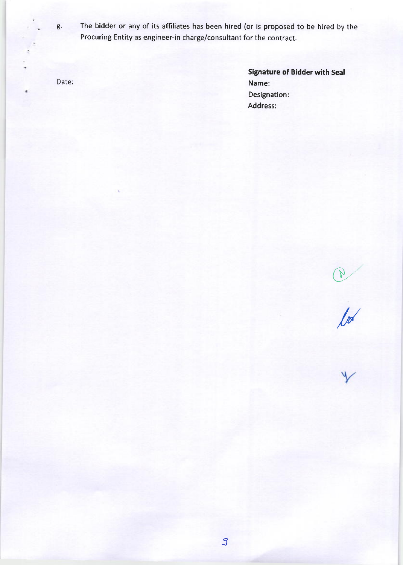g. The bidder or any of its affiliates has been hired (or is proposed to be hired by the rocuring Entity as engineer-in charge/consultant for the contract.

Date:

 $\bullet$ 

Signature of Bidder with Seal Name: Designation: Address:

 $\bigcirc$ 

//

3